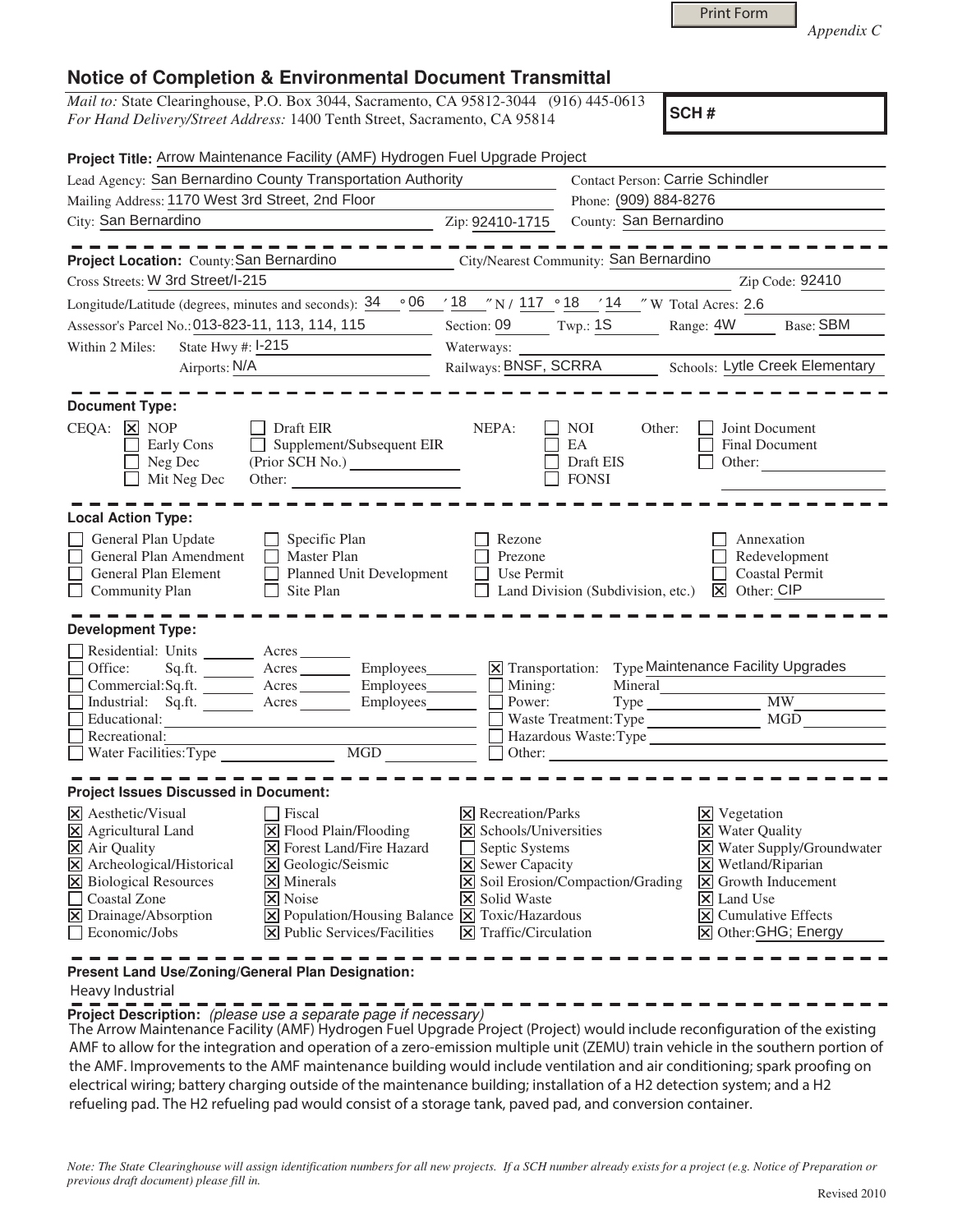|  | <b>Print Form</b> |  |
|--|-------------------|--|
|  |                   |  |

*Appendix C* 

## **Notice of Completion & Environmental Document Transmittal**

*Mail to:* State Clearinghouse, P.O. Box 3044, Sacramento, CA 95812-3044 (916) 445-0613 *For Hand Delivery/Street Address:* 1400 Tenth Street, Sacramento, CA 95814

**SCH #**

| Project Title: Arrow Maintenance Facility (AMF) Hydrogen Fuel Upgrade Project                                                                                                                                                                                                                                                                                                                                                                                                               |                                                                                                                                                                                  |                                                                |                                                                                                                                                                                                                                                       |  |
|---------------------------------------------------------------------------------------------------------------------------------------------------------------------------------------------------------------------------------------------------------------------------------------------------------------------------------------------------------------------------------------------------------------------------------------------------------------------------------------------|----------------------------------------------------------------------------------------------------------------------------------------------------------------------------------|----------------------------------------------------------------|-------------------------------------------------------------------------------------------------------------------------------------------------------------------------------------------------------------------------------------------------------|--|
| Lead Agency: San Bernardino County Transportation Authority                                                                                                                                                                                                                                                                                                                                                                                                                                 | <b>Contact Person: Carrie Schindler</b>                                                                                                                                          |                                                                |                                                                                                                                                                                                                                                       |  |
| Mailing Address: 1170 West 3rd Street, 2nd Floor                                                                                                                                                                                                                                                                                                                                                                                                                                            | Phone: (909) 884-8276                                                                                                                                                            |                                                                |                                                                                                                                                                                                                                                       |  |
| City: San Bernardino<br>Zip: 92410-1715                                                                                                                                                                                                                                                                                                                                                                                                                                                     |                                                                                                                                                                                  | County: San Bernardino                                         |                                                                                                                                                                                                                                                       |  |
| Project Location: County: San Bernardino                                                                                                                                                                                                                                                                                                                                                                                                                                                    |                                                                                                                                                                                  | City/Nearest Community: San Bernardino                         |                                                                                                                                                                                                                                                       |  |
| Cross Streets: W 3rd Street/I-215                                                                                                                                                                                                                                                                                                                                                                                                                                                           |                                                                                                                                                                                  |                                                                | Zip Code: 92410                                                                                                                                                                                                                                       |  |
| Longitude/Latitude (degrees, minutes and seconds): $\frac{34}{96}$ $\frac{06}{18}$ $\frac{18}{11}$ $\frac{117}{9}$ $\frac{18}{116}$ $\frac{114}{116}$ $\frac{114}{116}$ W Total Acres: 2.6                                                                                                                                                                                                                                                                                                  |                                                                                                                                                                                  |                                                                |                                                                                                                                                                                                                                                       |  |
| Assessor's Parcel No.: 013-823-11, 113, 114, 115                                                                                                                                                                                                                                                                                                                                                                                                                                            |                                                                                                                                                                                  |                                                                | Section: 09 Twp.: 1S Range: 4W Base: SBM                                                                                                                                                                                                              |  |
| State Hwy #: I-215<br>Within 2 Miles:                                                                                                                                                                                                                                                                                                                                                                                                                                                       | Waterways:                                                                                                                                                                       |                                                                |                                                                                                                                                                                                                                                       |  |
| Airports: N/A<br><u> 1986 - John Stone, amerikansk politiker</u>                                                                                                                                                                                                                                                                                                                                                                                                                            | Railways: BNSF, SCRRA Schools: Lytle Creek Elementary                                                                                                                            |                                                                |                                                                                                                                                                                                                                                       |  |
| <b>Document Type:</b><br>$CEQA: \times NOP$<br>Draft EIR<br>Supplement/Subsequent EIR<br>Early Cons<br>Neg Dec<br>$\Box$ Mit Neg Dec                                                                                                                                                                                                                                                                                                                                                        | NEPA:                                                                                                                                                                            | <b>NOI</b><br>Other:<br><b>EA</b><br>Draft EIS<br><b>FONSI</b> | Joint Document<br>Final Document<br>Other:                                                                                                                                                                                                            |  |
| <b>Local Action Type:</b><br>General Plan Update<br>Specific Plan<br>$\Box$                                                                                                                                                                                                                                                                                                                                                                                                                 | Rezone                                                                                                                                                                           |                                                                | Annexation                                                                                                                                                                                                                                            |  |
| General Plan Amendment<br>П<br>Master Plan<br>П<br>General Plan Element<br>Planned Unit Development<br>Community Plan<br>Site Plan                                                                                                                                                                                                                                                                                                                                                          | Prezone<br>Use Permit                                                                                                                                                            | Land Division (Subdivision, etc.)                              | Redevelopment<br><b>Coastal Permit</b><br>$\boxtimes$ Other: CIP                                                                                                                                                                                      |  |
| <b>Development Type:</b>                                                                                                                                                                                                                                                                                                                                                                                                                                                                    |                                                                                                                                                                                  |                                                                |                                                                                                                                                                                                                                                       |  |
| Residential: Units ________ Acres _______<br>Sq.ft. _________ Acres __________ Employees_________ $\boxed{\times}$ Transportation:<br>Office:<br>Commercial:Sq.ft. ________ Acres __________ Employees________<br>Industrial: Sq.ft. <u>Acres</u> Acres Employees<br>Educational:<br><u> 1980 - Johann Barn, amerikansk politiker (</u><br>Recreational:                                                                                                                                    | $\Box$ Mining:<br>Power:                                                                                                                                                         | Hazardous Waste:Type<br>Other:                                 | Type Maintenance Facility Upgrades<br>$\overline{\text{MW}}$<br>MGD                                                                                                                                                                                   |  |
| <b>Project Issues Discussed in Document:</b>                                                                                                                                                                                                                                                                                                                                                                                                                                                |                                                                                                                                                                                  |                                                                |                                                                                                                                                                                                                                                       |  |
| $\times$ Aesthetic/Visual<br>$ $ Fiscal<br>X Agricultural Land<br>X Flood Plain/Flooding<br><b>X</b> Forest Land/Fire Hazard<br>X Air Quality<br>X Archeological/Historical<br>X Geologic/Seismic<br>X Biological Resources<br>$\times$ Minerals<br><b>Coastal Zone</b><br>$\vert$ X Noise<br>X Drainage/Absorption<br>$\boxed{\mathbf{X}}$ Population/Housing Balance $\boxed{\mathbf{X}}$ Toxic/Hazardous<br>$\Box$ Economic/Jobs<br>$ \mathbf{\overline{X}} $ Public Services/Facilities | $ \mathsf{X} $ Recreation/Parks<br>X Schools/Universities<br>Septic Systems<br>$\boxed{\mathsf{X}}$ Sewer Capacity<br><b>X</b> Solid Waste<br>$ \mathsf{X} $ Traffic/Circulation | X Soil Erosion/Compaction/Grading                              | $\boxtimes$ Vegetation<br>X Water Quality<br>X Water Supply/Groundwater<br>$\times$ Wetland/Riparian<br>$ \mathsf{X} $ Growth Inducement<br>$\vert \mathsf{X} \vert$ Land Use<br>$ \mathbf{\overline{X}} $ Cumulative Effects<br>X Other: GHG; Energy |  |

**Present Land Use/Zoning/General Plan Designation:**

## Heavy Industrial

**Project Description:** (please use a separate page if necessary)

 The Arrow Maintenance Facility (AMF) Hydrogen Fuel Upgrade Project (Project) would include reconfiguration of the existing AMF to allow for the integration and operation of a zero-emission multiple unit (ZEMU) train vehicle in the southern portion of the AMF. Improvements to the AMF maintenance building would include ventilation and air conditioning; spark proofing on electrical wiring; battery charging outside of the maintenance building; installation of a H2 detection system; and a H2 refueling pad. The H2 refueling pad would consist of a storage tank, paved pad, and conversion container.

*Note: The State Clearinghouse will assign identification numbers for all new projects. If a SCH number already exists for a project (e.g. Notice of Preparation or previous draft document) please fill in.*